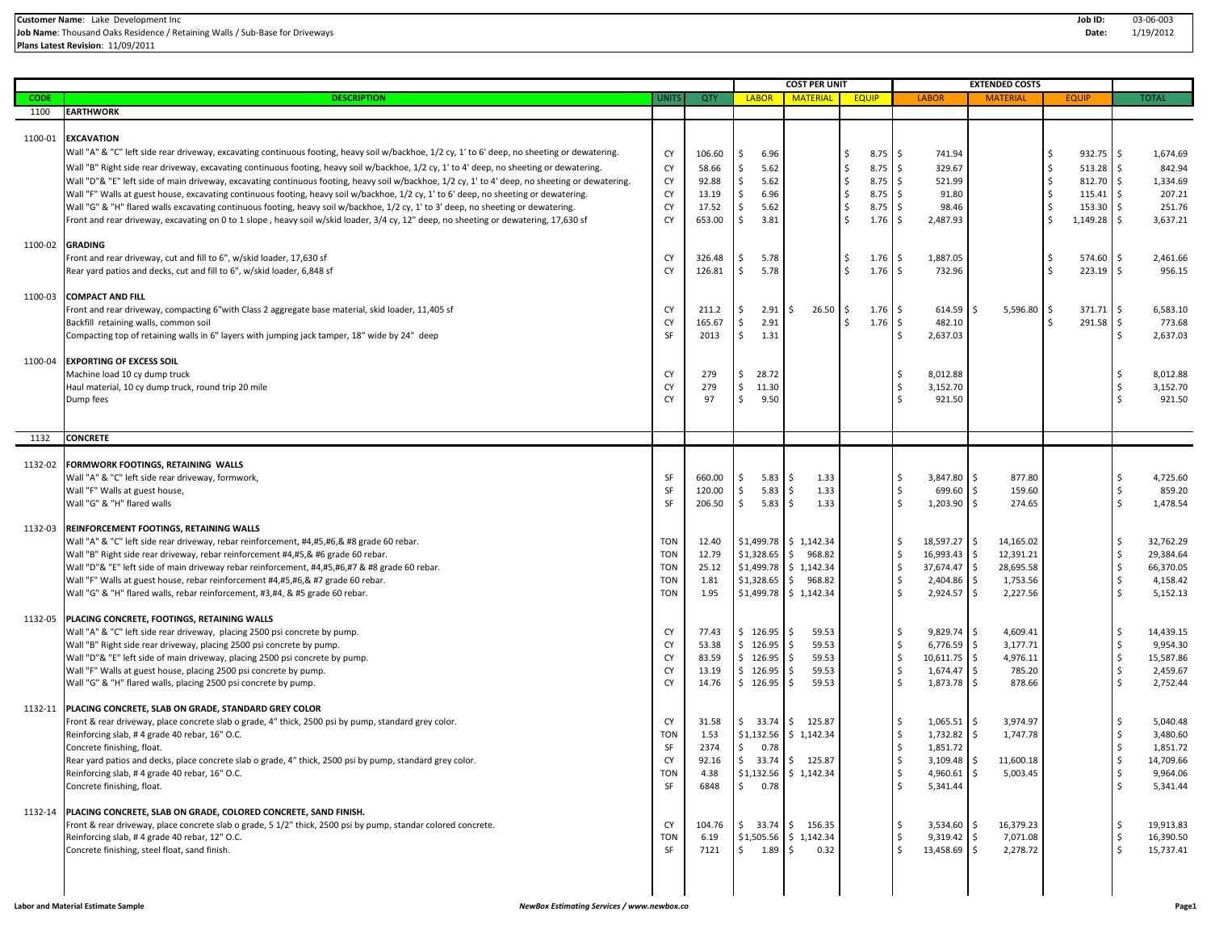**Plans Latest Revision**: 11/09/2011

|                               |                                                                                                                                                                                                                                                                                                                                                                                                                                                                                                                                                                                                                                                                                                                                                                                                                                                                                              |                                                                                                  |                                                                                         |                                                                                            | <b>COST PER UNIT</b>                                                                                                                                                                         |                                                                                                                |                                                                                                                                                                                                                                                   | <b>EXTENDED COSTS</b>                                                                                                                               |                                                                                                                                 |                                                                                                                                                                                                   |
|-------------------------------|----------------------------------------------------------------------------------------------------------------------------------------------------------------------------------------------------------------------------------------------------------------------------------------------------------------------------------------------------------------------------------------------------------------------------------------------------------------------------------------------------------------------------------------------------------------------------------------------------------------------------------------------------------------------------------------------------------------------------------------------------------------------------------------------------------------------------------------------------------------------------------------------|--------------------------------------------------------------------------------------------------|-----------------------------------------------------------------------------------------|--------------------------------------------------------------------------------------------|----------------------------------------------------------------------------------------------------------------------------------------------------------------------------------------------|----------------------------------------------------------------------------------------------------------------|---------------------------------------------------------------------------------------------------------------------------------------------------------------------------------------------------------------------------------------------------|-----------------------------------------------------------------------------------------------------------------------------------------------------|---------------------------------------------------------------------------------------------------------------------------------|---------------------------------------------------------------------------------------------------------------------------------------------------------------------------------------------------|
| <b>CODE</b>                   | <b>DESCRIPTION</b>                                                                                                                                                                                                                                                                                                                                                                                                                                                                                                                                                                                                                                                                                                                                                                                                                                                                           | <b>UNITS</b>                                                                                     | QTY                                                                                     | <b>LABOR</b>                                                                               | <b>MATERIA</b>                                                                                                                                                                               | <b>EQUIP</b>                                                                                                   | <b>LABOF</b>                                                                                                                                                                                                                                      | <b>MATERI</b>                                                                                                                                       | <b>EQUIF</b>                                                                                                                    | <b>TOTAL</b>                                                                                                                                                                                      |
| 1100                          | <b>EARTHWORK</b>                                                                                                                                                                                                                                                                                                                                                                                                                                                                                                                                                                                                                                                                                                                                                                                                                                                                             |                                                                                                  |                                                                                         |                                                                                            |                                                                                                                                                                                              |                                                                                                                |                                                                                                                                                                                                                                                   |                                                                                                                                                     |                                                                                                                                 |                                                                                                                                                                                                   |
| 1100-01                       | <b>EXCAVATION</b><br>Wall "A" & "C" left side rear driveway, excavating continuous footing, heavy soil w/backhoe, 1/2 cy, 1' to 6' deep, no sheeting or dewatering.<br>Wall "B" Right side rear driveway, excavating continuous footing, heavy soil w/backhoe, 1/2 cy, 1' to 4' deep, no sheeting or dewatering.<br>Wall "D"& "E" left side of main driveway, excavating continuous footing, heavy soil w/backhoe, 1/2 cy, 1' to 4' deep, no sheeting or dewatering.<br>Wall "F" Walls at guest house, excavating continuous footing, heavy soil w/backhoe, 1/2 cy, 1' to 6' deep, no sheeting or dewatering.<br>Wall "G" & "H" flared walls excavating continuous footing, heavy soil w/backhoe, 1/2 cy, 1' to 3' deep, no sheeting or dewatering.<br>Front and rear driveway, excavating on 0 to 1 slope, heavy soil w/skid loader, 3/4 cy, 12" deep, no sheeting or dewatering, 17,630 sf | CY<br>CY<br>CY<br>CY<br>CY<br>CY                                                                 | 106.60<br>58.66<br>92.88<br>13.19<br>17.52<br>653.00                                    | 6.96<br>5.62<br>Ŝ.<br>5.62<br>\$<br>6.96<br>S.<br>5.62<br>Ŝ.<br>3.81<br>\$                 |                                                                                                                                                                                              | \$<br>$8.75$ \$<br>\$<br>$8.75$ \$<br>\$<br>$8.75$ \$<br>\$<br>$8.75$ \$<br>Ś.<br>$8.75$ \$<br>\$<br>$1.76$ \$ | 741.94<br>329.67<br>521.99<br>91.80<br>98.46<br>2,487.93                                                                                                                                                                                          |                                                                                                                                                     | 932.75<br>Ŝ<br>513.28<br>\$<br><sup>\$</sup><br>812.70<br>-\$<br>115.41<br><sup>\$</sup><br>153.30<br><sup>\$</sup><br>1,149.28 | 1,674.69<br>\$<br>$\mathsf{\hat{S}}$<br>842.94<br>\$<br>1,334.69<br>$\mathsf{\hat{S}}$<br>207.21<br>Ŝ.<br>251.76<br>Ŝ.<br>3,637.21                                                                |
| 1100-02                       | <b>GRADING</b><br>Front and rear driveway, cut and fill to 6", w/skid loader, 17,630 sf<br>Rear yard patios and decks, cut and fill to 6", w/skid loader, 6,848 sf                                                                                                                                                                                                                                                                                                                                                                                                                                                                                                                                                                                                                                                                                                                           | CY<br>CY                                                                                         | 326.48<br>126.81                                                                        | 5.78<br>-S<br>$\mathsf{S}$<br>5.78                                                         |                                                                                                                                                                                              | \$<br>$1.76 \pm 5$<br>Ś.<br>$1.76 \pm 5$                                                                       | 1,887.05<br>732.96                                                                                                                                                                                                                                |                                                                                                                                                     | 574.60<br>\$.<br>Ś<br>223.19                                                                                                    | -\$<br>2,461.66<br>$\mathsf{\hat{S}}$<br>956.15                                                                                                                                                   |
| 1100-03                       | <b>COMPACT AND FILL</b><br>Front and rear driveway, compacting 6"with Class 2 aggregate base material, skid loader, 11,405 sf<br>Backfill retaining walls, common soil<br>Compacting top of retaining walls in 6" layers with jumping jack tamper, 18" wide by 24" deep                                                                                                                                                                                                                                                                                                                                                                                                                                                                                                                                                                                                                      | CY<br>CY<br>SF                                                                                   | 211.2<br>165.67<br>2013                                                                 | 2.91<br>-Ŝ<br>2.91<br>S.<br>$\mathsf{S}$<br>1.31                                           | \$<br>26.50                                                                                                                                                                                  | \$<br>$1.76 \pm 5$<br>\$<br>$1.76$ \$                                                                          | 614.59<br>482.10<br>2,637.03                                                                                                                                                                                                                      | 5,596.80<br>Ŝ.                                                                                                                                      | 371.71<br>∣\$<br>291.58<br>Ś                                                                                                    | \$<br>6,583.10<br>$\ddot{\mathsf{S}}$<br>773.68<br><sup>\$</sup><br>2,637.03                                                                                                                      |
| 1100-04                       | <b>EXPORTING OF EXCESS SOIL</b><br>Machine load 10 cy dump truck<br>Haul material, 10 cy dump truck, round trip 20 mile<br>Dump fees                                                                                                                                                                                                                                                                                                                                                                                                                                                                                                                                                                                                                                                                                                                                                         | CY<br>CY<br>CY                                                                                   | 279<br>279<br>97                                                                        | 28.72<br>\$<br>11.30<br>I\$<br>$\mathsf{S}$<br>9.50                                        |                                                                                                                                                                                              |                                                                                                                | 8,012.88<br>Ŝ.<br>3,152.70<br>921.50                                                                                                                                                                                                              |                                                                                                                                                     |                                                                                                                                 | 8,012.88<br>\$<br>3,152.70<br>\$<br>921.50                                                                                                                                                        |
| 1132                          | <b>CONCRETE</b>                                                                                                                                                                                                                                                                                                                                                                                                                                                                                                                                                                                                                                                                                                                                                                                                                                                                              |                                                                                                  |                                                                                         |                                                                                            |                                                                                                                                                                                              |                                                                                                                |                                                                                                                                                                                                                                                   |                                                                                                                                                     |                                                                                                                                 |                                                                                                                                                                                                   |
| 1132-02<br>1132-03<br>1132-05 | FORMWORK FOOTINGS, RETAINING WALLS<br>Wall "A" & "C" left side rear driveway, formwork,<br>Wall "F" Walls at guest house,<br>Wall "G" & "H" flared walls<br><b>REINFORCEMENT FOOTINGS, RETAINING WALLS</b><br>Wall "A" & "C" left side rear driveway, rebar reinforcement, #4,#5,#6,& #8 grade 60 rebar.<br>Wall "B" Right side rear driveway, rebar reinforcement #4,#5,& #6 grade 60 rebar.<br>Wall "D"& "E" left side of main driveway rebar reinforcement, #4,#5,#6,#7 & #8 grade 60 rebar.<br>Wall "F" Walls at guest house, rebar reinforcement #4,#5,#6,& #7 grade 60 rebar.<br>Wall "G" & "H" flared walls, rebar reinforcement, #3,#4, & #5 grade 60 rebar.<br>PLACING CONCRETE, FOOTINGS, RETAINING WALLS<br>Wall "A" & "C" left side rear driveway, placing 2500 psi concrete by pump.<br>Wall "B" Right side rear driveway, placing 2500 psi concrete by pump.                   | SF<br>SF<br>SF<br><b>TON</b><br><b>TON</b><br><b>TON</b><br><b>TON</b><br><b>TON</b><br>CY<br>CY | 660.00<br>120.00<br>206.50<br>12.40<br>12.79<br>25.12<br>1.81<br>1.95<br>77.43<br>53.38 | 5.83<br>-S<br>5.83<br>S.<br>\$<br>5.83<br>\$1,328.65<br>\$1,328.65<br>\$126.95<br>\$126.95 | 1.33<br>Ś.<br>\$<br>1.33<br>\$<br>1.33<br>$$1,499.78$ $$1,142.34$<br>\$968.82<br>$$1,499.78$ $$1,142.34$<br>$\frac{1}{2}$<br>968.82<br>$$1,499.78$ $$1,142.34$<br>Ś.<br>59.53<br>59.53<br>\$ |                                                                                                                | 3,847.80 \$<br>Ŝ.<br>\$<br>699.60<br>$\mathsf{\hat{S}}$<br>$1,203.90$ \$<br>18,597.27 \$<br>\$<br>Ŝ.<br>16,993.43<br>37,674.47 \$<br>\$<br>Ŝ.<br>2,404.86<br><sup>\$</sup><br>2,924.57 \$<br>Ŝ.<br>9,829.74 \$<br>$\ddot{\mathsf{S}}$<br>6,776.59 | 877.80<br>\$<br>159.60<br>274.65<br>14,165.02<br>$\sqrt{5}$<br>12,391.21<br>28,695.58<br>I\$<br>1,753.56<br>2,227.56<br>4,609.41<br>I\$<br>3,177.71 |                                                                                                                                 | 4,725.60<br>Ś<br>\$<br>859.20<br>Ŝ.<br>1,478.54<br>\$<br>32,762.29<br>\$<br>29,384.64<br>\$<br>66,370.05<br>\$<br>4,158.42<br>$\mathsf{\hat{S}}$<br>5,152.13<br>\$<br>14,439.15<br>\$<br>9,954.30 |
| 1132-11                       | Wall "D"& "E" left side of main driveway, placing 2500 psi concrete by pump.<br>Wall "F" Walls at guest house, placing 2500 psi concrete by pump.<br>Wall "G" & "H" flared walls, placing 2500 psi concrete by pump.<br>PLACING CONCRETE, SLAB ON GRADE, STANDARD GREY COLOR                                                                                                                                                                                                                                                                                                                                                                                                                                                                                                                                                                                                                 | CY<br>CY<br>CY                                                                                   | 83.59<br>13.19<br>14.76                                                                 | \$126.95<br>\$126.95<br>\$126.95                                                           | \$<br>59.53<br>59.53<br>\$<br>59.53                                                                                                                                                          |                                                                                                                | $\mathsf{\S}$<br>10,611.75 \$<br>$\ddot{\mathsf{S}}$<br>$1,674.47$ \$<br>$\mathsf{\hat{S}}$<br>1,873.78 \$                                                                                                                                        | 4,976.11<br>785.20<br>878.66                                                                                                                        |                                                                                                                                 | \$<br>15,587.86<br>\$<br>2,459.67<br><sup>\$</sup><br>2,752.44                                                                                                                                    |
|                               | Front & rear driveway, place concrete slab o grade, 4" thick, 2500 psi by pump, standard grey color.<br>Reinforcing slab, #4 grade 40 rebar, 16" O.C.<br>Concrete finishing, float.<br>Rear yard patios and decks, place concrete slab o grade, 4" thick, 2500 psi by pump, standard grey color.<br>Reinforcing slab, #4 grade 40 rebar, 16" O.C.<br>Concrete finishing, float.                                                                                                                                                                                                                                                                                                                                                                                                                                                                                                              | CY<br><b>TON</b><br>SF<br>CY<br><b>TON</b><br><b>SF</b>                                          | 31.58<br>1.53<br>2374<br>92.16<br>4.38<br>6848                                          | \$ 0.78<br>\$0.78                                                                          | $$33.74$ $$125.87$<br>$$1,132.56$ \$ 1,142.34<br>$$33.74$ $$125.87$<br>$$1,132.56$ \$ 1,142.34                                                                                               |                                                                                                                | Ŝ.<br>$1,065.51$ \$<br>\$<br>1,732.82<br>\$<br>1,851.72<br>3,109.48<br>$\mathsf{S}$<br>$4,960.61$ \$<br>Ŝ.<br>5,341.44                                                                                                                            | 3,974.97<br>I\$<br>1,747.78<br>11,600.18<br>5,003.45                                                                                                |                                                                                                                                 | 5,040.48<br>3,480.60<br>1,851.72<br>14,709.66<br>Ŝ.<br>9,964.06<br>Ŝ.<br>5,341.44                                                                                                                 |
| 1132-14                       | PLACING CONCRETE, SLAB ON GRADE, COLORED CONCRETE, SAND FINISH.<br>Front & rear driveway, place concrete slab o grade, 5 1/2" thick, 2500 psi by pump, standar colored concrete.<br>Reinforcing slab, #4 grade 40 rebar, 12" O.C.<br>Concrete finishing, steel float, sand finish.                                                                                                                                                                                                                                                                                                                                                                                                                                                                                                                                                                                                           | CY<br><b>TON</b><br>SF                                                                           | 104.76<br>6.19<br>7121                                                                  | $$1.89$ \$                                                                                 | $\frac{1}{2}$ 33.74 $\frac{1}{2}$ 156.35<br>$$1,505.56$ $$1,142.34$<br>0.32                                                                                                                  |                                                                                                                | $3,534.60$ \$<br>$9,319.42$ \$<br>\$<br>13,458.69 \$<br>Ŝ.                                                                                                                                                                                        | 16,379.23<br>7,071.08<br>2,278.72                                                                                                                   |                                                                                                                                 | 19,913.83<br>Ŝ.<br>16,390.50<br><sup>\$</sup><br>15,737.41                                                                                                                                        |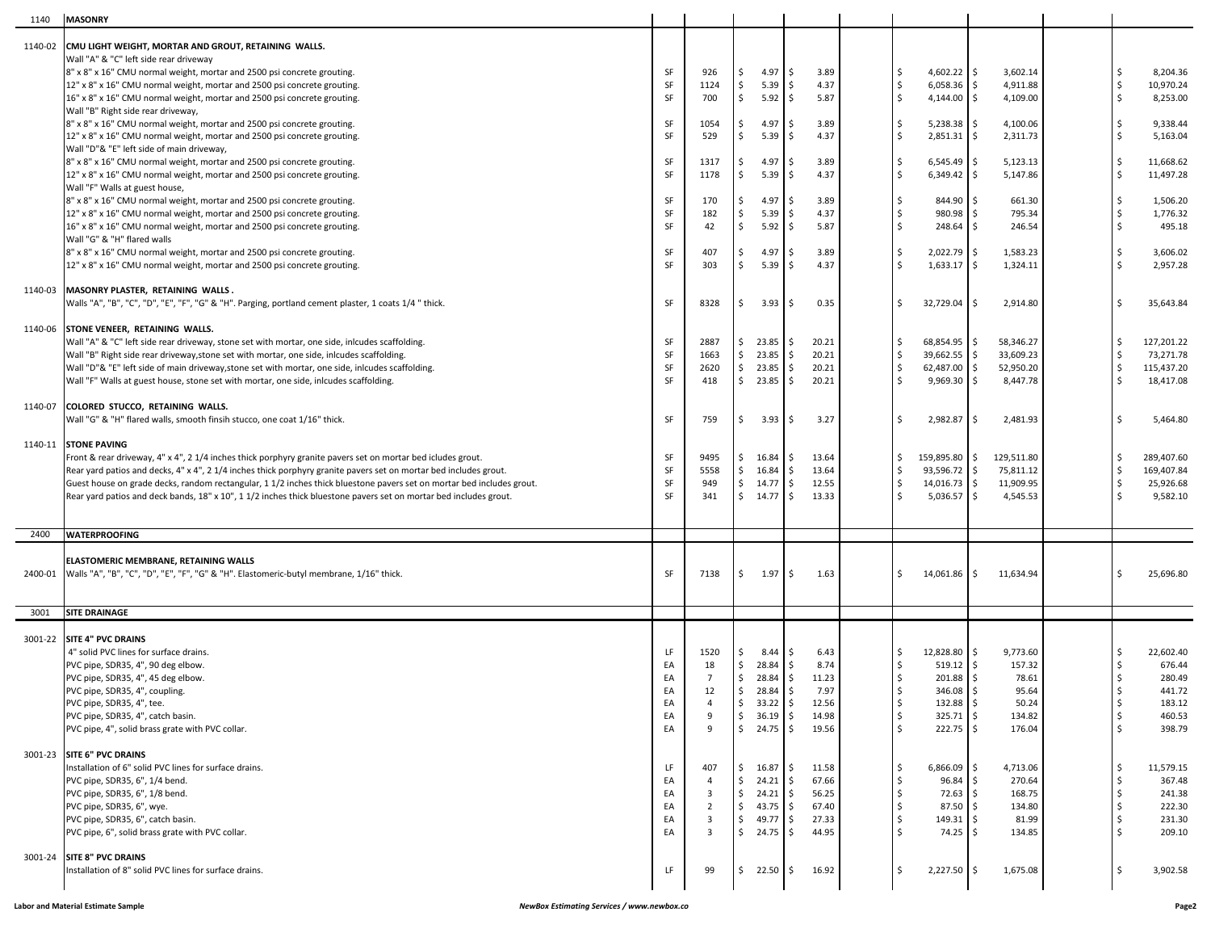| 1140    | <b>MASONRY</b>                                                                                                                                                                                                                   |          |                         |    |                    |                              |          |                            |                                   |          |                          |
|---------|----------------------------------------------------------------------------------------------------------------------------------------------------------------------------------------------------------------------------------|----------|-------------------------|----|--------------------|------------------------------|----------|----------------------------|-----------------------------------|----------|--------------------------|
| 1140-02 | CMU LIGHT WEIGHT, MORTAR AND GROUT, RETAINING WALLS.                                                                                                                                                                             |          |                         |    |                    |                              |          |                            |                                   |          |                          |
|         | Wall "A" & "C" left side rear driveway                                                                                                                                                                                           |          |                         |    |                    |                              |          |                            |                                   |          |                          |
|         | 8" x 8" x 16" CMU normal weight, mortar and 2500 psi concrete grouting.                                                                                                                                                          | SF       | 926                     | \$ | 4.97               | l\$<br>3.89                  | Ŝ.       | $4,602.22$ \$              | 3,602.14                          | Ŝ.       | 8,204.36                 |
|         | 12" x 8" x 16" CMU normal weight, mortar and 2500 psi concrete grouting.                                                                                                                                                         | SF       | 1124                    | \$ | 5.39               | 4.37<br>- Ś                  | Ŝ.       | 6,058.36                   | \$<br>4,911.88                    | Ŝ.       | 10,970.24                |
|         | 16" x 8" x 16" CMU normal weight, mortar and 2500 psi concrete grouting.<br>Wall "B" Right side rear driveway,                                                                                                                   | SF       | 700                     | \$ | 5.92               | l \$<br>5.87                 | Ŝ.       | 4,144.00                   | \$<br>4,109.00                    | Ŝ.       | 8,253.00                 |
|         | 8" x 8" x 16" CMU normal weight, mortar and 2500 psi concrete grouting.                                                                                                                                                          | SF       | 1054                    | \$ | 4.97               | ∣\$<br>3.89                  | \$       | $5,238.38$ \$              | 4,100.06                          | Ŝ.       | 9,338.44                 |
|         | 12" x 8" x 16" CMU normal weight, mortar and 2500 psi concrete grouting.                                                                                                                                                         | SF       | 529                     | \$ | 5.39               | -Ś<br>4.37                   | Ŝ.       | 2,851.31                   | Ŝ.<br>2,311.73                    |          | 5,163.04                 |
|         | Wall "D"& "E" left side of main driveway,                                                                                                                                                                                        |          |                         |    |                    |                              |          |                            |                                   |          |                          |
|         | 8" x 8" x 16" CMU normal weight, mortar and 2500 psi concrete grouting.                                                                                                                                                          | SF       | 1317                    | \$ | 4.97               | l\$<br>3.89                  | Ŝ.       | 6,545.49                   | - Ś<br>5,123.13                   | Ŝ.       | 11,668.62                |
|         | 12" x 8" x 16" CMU normal weight, mortar and 2500 psi concrete grouting.                                                                                                                                                         | SF       | 1178                    | \$ | 5.39               | 4.37<br>- Ś                  | Ŝ.       | 6,349.42                   | Ś<br>5,147.86                     |          | 11,497.28                |
|         | Wall "F" Walls at guest house,<br>8" x 8" x 16" CMU normal weight, mortar and 2500 psi concrete grouting.                                                                                                                        | SF       | 170                     | \$ | 4.97               | l \$<br>3.89                 | Ŝ.       | 844.90                     | Ś.<br>661.30                      | Ŝ.       | 1,506.20                 |
|         | 12" x 8" x 16" CMU normal weight, mortar and 2500 psi concrete grouting.                                                                                                                                                         | SF       | 182                     | \$ | 5.39               | 4.37<br>- Ś                  | Ŝ.       | 980.98                     | Ś.<br>795.34                      |          | 1,776.32                 |
|         | 16" x 8" x 16" CMU normal weight, mortar and 2500 psi concrete grouting.                                                                                                                                                         | SF       | 42                      | \$ | 5.92               | 5.87<br>l \$                 | Ŝ.       | 248.64                     | \$<br>246.54                      | Ŝ.       | 495.18                   |
|         | Wall "G" & "H" flared walls                                                                                                                                                                                                      |          |                         |    |                    |                              |          |                            |                                   |          |                          |
|         | 8" x 8" x 16" CMU normal weight, mortar and 2500 psi concrete grouting.                                                                                                                                                          | SF       | 407                     | \$ | 4.97               | 3.89<br>l \$                 | \$.      | $2,022.79$ \$              | 1,583.23                          | Ŝ.       | 3,606.02                 |
|         | 12" x 8" x 16" CMU normal weight, mortar and 2500 psi concrete grouting.                                                                                                                                                         | SF       | 303                     | \$ | 5.39               | 4.37<br>- Ś                  |          | 1,633.17                   | \$<br>1,324.11                    |          | 2,957.28                 |
|         | 1140-03 MASONRY PLASTER, RETAINING WALLS.                                                                                                                                                                                        |          |                         |    |                    |                              |          |                            |                                   |          |                          |
|         | Walls "A", "B", "C", "D", "E", "F", "G" & "H". Parging, portland cement plaster, 1 coats 1/4 " thick.                                                                                                                            | SF       | 8328                    | \$ | 3.93               | 0.35<br>۱\$                  | \$       | $32,729.04$ \$             | 2,914.80                          | Ŝ.       | 35,643.84                |
|         |                                                                                                                                                                                                                                  |          |                         |    |                    |                              |          |                            |                                   |          |                          |
| 1140-06 | STONE VENEER, RETAINING WALLS.                                                                                                                                                                                                   |          |                         |    |                    |                              |          |                            |                                   |          |                          |
|         | Wall "A" & "C" left side rear driveway, stone set with mortar, one side, inlcudes scaffolding.                                                                                                                                   | SF       | 2887                    |    | \$23.85            | 20.21<br>- S                 | Ŝ.       | 68,854.95 \$               | 58,346.27                         | Ŝ.       | 127,201.22               |
|         | Wall "B" Right side rear driveway, stone set with mortar, one side, inlcudes scaffolding.                                                                                                                                        | SF       | 1663                    |    | \$23.85            | 20.21<br>۱\$                 | \$       | $39,662.55$ \$             | 33,609.23                         | Ŝ.       | 73,271.78                |
|         | Wall "D"& "E" left side of main driveway, stone set with mortar, one side, inlcudes scaffolding.<br>Wall "F" Walls at guest house, stone set with mortar, one side, inlcudes scaffolding.                                        | SF<br>SF | 2620<br>418             |    | \$23.85<br>\$23.85 | 20.21<br>- Ś<br>l\$<br>20.21 | Ŝ.<br>Ŝ. | 62,487.00<br>9,969.30      | S.<br>52,950.20<br>\$<br>8,447.78 | Ŝ.<br>Ŝ. | 115,437.20<br>18,417.08  |
|         |                                                                                                                                                                                                                                  |          |                         |    |                    |                              |          |                            |                                   |          |                          |
| 1140-07 | COLORED STUCCO, RETAINING WALLS.                                                                                                                                                                                                 |          |                         |    |                    |                              |          |                            |                                   |          |                          |
|         | Wall "G" & "H" flared walls, smooth finsih stucco, one coat 1/16" thick.                                                                                                                                                         | SF       | 759                     | \$ | 3.93               | l \$<br>3.27                 | Ŝ.       | $2,982.87$ \$              | 2,481.93                          | Ŝ.       | 5,464.80                 |
|         |                                                                                                                                                                                                                                  |          |                         |    |                    |                              |          |                            |                                   |          |                          |
|         | 1140-11 STONE PAVING                                                                                                                                                                                                             |          |                         |    |                    |                              |          |                            |                                   |          |                          |
|         | Front & rear driveway, 4" x 4", 2 1/4 inches thick porphyry granite pavers set on mortar bed icludes grout.<br>Rear yard patios and decks, 4" x 4", 2 1/4 inches thick porphyry granite pavers set on mortar bed includes grout. | SF<br>SF | 9495<br>5558            |    | \$16.84<br>\$16.84 | I\$<br>13.64<br>13.64<br>- Ś | \$<br>Ŝ. | 159,895.80<br>93,596.72 \$ | \$<br>129,511.80<br>75,811.12     | Ŝ.<br>Ŝ. | 289,407.60<br>169,407.84 |
|         | Guest house on grade decks, random rectangular, 1 1/2 inches thick bluestone pavers set on mortar bed includes grout.                                                                                                            | SF       | 949                     |    | \$14.77            | 12.55<br>I\$                 | Ŝ.       | $14,016.73$ \$             | 11,909.95                         | Ŝ.       | 25,926.68                |
|         | Rear yard patios and deck bands, 18" x 10", 1 1/2 inches thick bluestone pavers set on mortar bed includes grout.                                                                                                                | SF       | 341                     |    | \$14.77            | l \$<br>13.33                | Ŝ.       | 5,036.57                   | S.<br>4,545.53                    |          | 9,582.10                 |
|         |                                                                                                                                                                                                                                  |          |                         |    |                    |                              |          |                            |                                   |          |                          |
| 2400    | <b>WATERPROOFING</b>                                                                                                                                                                                                             |          |                         |    |                    |                              |          |                            |                                   |          |                          |
|         |                                                                                                                                                                                                                                  |          |                         |    |                    |                              |          |                            |                                   |          |                          |
|         | ELASTOMERIC MEMBRANE, RETAINING WALLS                                                                                                                                                                                            |          |                         |    |                    |                              |          |                            |                                   |          |                          |
| 2400-01 | [Walls "A", "B", "C", "D", "E", "F", "G" & "H". Elastomeric-butyl membrane, 1/16" thick.                                                                                                                                         | SF       | 7138                    | \$ | 1.97 <sup>5</sup>  | 1.63                         | Ŝ.       | 14,061.86                  | \$<br>11,634.94                   | Ŝ        | 25,696.80                |
|         |                                                                                                                                                                                                                                  |          |                         |    |                    |                              |          |                            |                                   |          |                          |
| 3001    |                                                                                                                                                                                                                                  |          |                         |    |                    |                              |          |                            |                                   |          |                          |
|         | <b>SITE DRAINAGE</b>                                                                                                                                                                                                             |          |                         |    |                    |                              |          |                            |                                   |          |                          |
|         |                                                                                                                                                                                                                                  |          |                         |    |                    |                              |          |                            |                                   |          |                          |
|         | 3001-22 SITE 4" PVC DRAINS                                                                                                                                                                                                       |          |                         |    |                    |                              |          |                            |                                   |          |                          |
|         | 4" solid PVC lines for surface drains.                                                                                                                                                                                           | LF       | 1520                    | \$ | 8.44               | 6.43<br>-S                   | Ŝ.       | 12,828.80                  | 9,773.60<br>Ś                     |          | 22,602.40                |
|         | PVC pipe, SDR35, 4", 90 deg elbow.                                                                                                                                                                                               | EA       | 18                      | \$ | 28.84              | 8.74<br>l\$                  | \$<br>Ŝ. | $519.12$ \$                | 157.32                            | Ŝ.       | 676.44                   |
|         | PVC pipe, SDR35, 4", 45 deg elbow.                                                                                                                                                                                               | EA<br>EA | $\overline{7}$<br>12    | Ś. | \$28.84<br>28.84   | 11.23<br>l\$<br>7.97         |          | $201.88$ \$<br>346.08      | 78.61<br>95.64                    |          | 280.49<br>441.72         |
|         | PVC pipe, SDR35, 4", coupling.<br>PVC pipe, SDR35, 4", tee.                                                                                                                                                                      | EA       | $\overline{4}$          |    | \$33.22\$          | 12.56                        | \$       | $132.88$ \$                | 50.24                             | \$       | 183.12                   |
|         | PVC pipe, SDR35, 4", catch basin.                                                                                                                                                                                                | EA       | 9                       |    | \$36.19            | 14.98                        | Ŝ.       | $325.71$ \$                | 134.82                            | Ŝ.       | 460.53                   |
|         | PVC pipe, 4", solid brass grate with PVC collar.                                                                                                                                                                                 | EA       | 9                       |    | \$24.75            | 19.56                        | Ŝ.       | $222.75$ \$                | 176.04                            | Ś.       | 398.79                   |
|         | 3001-23 SITE 6" PVC DRAINS                                                                                                                                                                                                       |          |                         |    |                    |                              |          |                            |                                   |          |                          |
|         | Installation of 6" solid PVC lines for surface drains.                                                                                                                                                                           | LF       | 407                     |    | \$16.87            | 11.58                        | \$       | $6,866.09$ \$              | 4,713.06                          | \$       | 11,579.15                |
|         | PVC pipe, SDR35, 6", 1/4 bend.                                                                                                                                                                                                   | EA       | $\overline{4}$          |    | $$24.21$ \$        | 67.66                        | Ŝ.       | 96.84                      | S.<br>270.64                      | Ŝ.       | 367.48                   |
|         | PVC pipe, SDR35, 6", 1/8 bend.                                                                                                                                                                                                   | EA       | 3                       |    | $$24.21$ \$        | 56.25                        | \$       | $72.63$ \$                 | 168.75                            | Ŝ.       | 241.38                   |
|         | PVC pipe, SDR35, 6", wye.                                                                                                                                                                                                        | EA       | $\overline{2}$          |    | $$43.75$ \$        | 67.40                        | Ŝ.       | 87.50                      | S.<br>134.80                      | Ŝ.       | 222.30                   |
|         | PVC pipe, SDR35, 6", catch basin.                                                                                                                                                                                                | EA       | $\overline{3}$          |    | $$49.77$ \$        | 27.33                        | Ŝ.<br>Ŝ. | $149.31$ \$                | 81.99                             | Ŝ.<br>Ŝ. | 231.30                   |
|         | PVC pipe, 6", solid brass grate with PVC collar.                                                                                                                                                                                 | EA       | $\overline{\mathbf{3}}$ |    | $$24.75$ \$        | 44.95                        |          | $74.25$ \$                 | 134.85                            |          | 209.10                   |
|         | 3001-24 SITE 8" PVC DRAINS                                                                                                                                                                                                       |          |                         |    |                    |                              |          |                            |                                   |          |                          |
|         | Installation of 8" solid PVC lines for surface drains.                                                                                                                                                                           | LF       | 99                      |    | $$22.50$ \$        | 16.92                        | Ŝ.       | $2,227.50$ \$              | 1,675.08                          | \$       | 3,902.58                 |